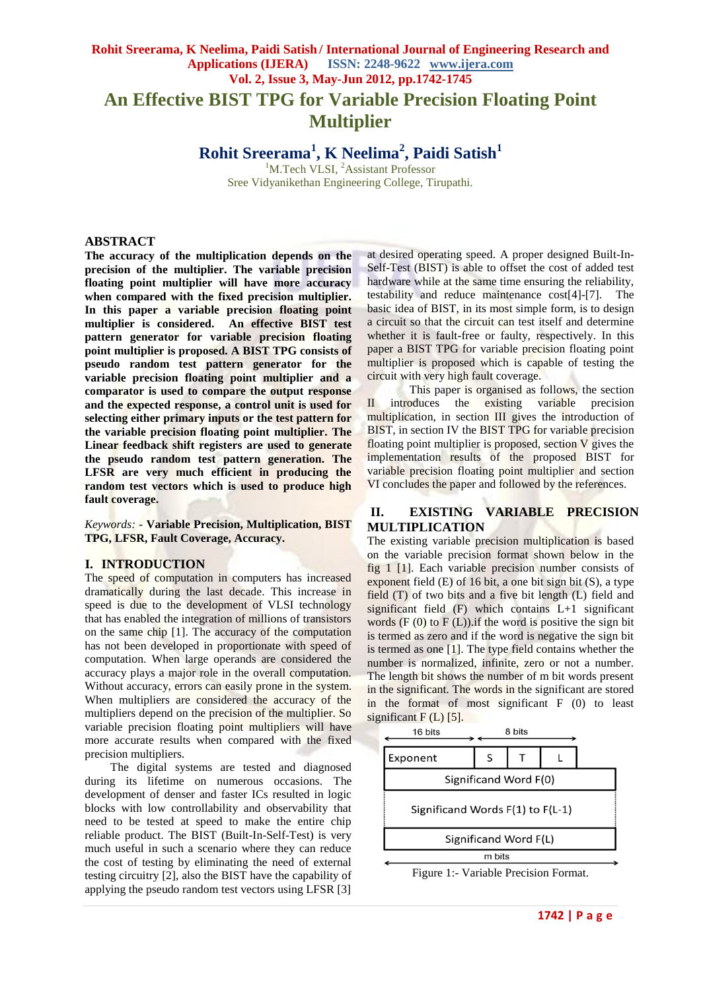# **Rohit Sreerama, K Neelima, Paidi Satish / International Journal of Engineering Research and Applications (IJERA) ISSN: 2248-9622 www.ijera.com Vol. 2, Issue 3, May-Jun 2012, pp.1742-1745 An Effective BIST TPG for Variable Precision Floating Point Multiplier**

**Rohit Sreerama<sup>1</sup> , K Neelima<sup>2</sup> , Paidi Satish<sup>1</sup>**

<sup>1</sup>M.Tech VLSI, <sup>2</sup>Assistant Professor Sree Vidyanikethan Engineering College, Tirupathi.

#### **ABSTRACT**

**The accuracy of the multiplication depends on the precision of the multiplier. The variable precision floating point multiplier will have more accuracy when compared with the fixed precision multiplier. In this paper a variable precision floating point multiplier is considered. An effective BIST test pattern generator for variable precision floating point multiplier is proposed. A BIST TPG consists of pseudo random test pattern generator for the variable precision floating point multiplier and a comparator is used to compare the output response and the expected response, a control unit is used for selecting either primary inputs or the test pattern for the variable precision floating point multiplier. The Linear feedback shift registers are used to generate the pseudo random test pattern generation. The LFSR are very much efficient in producing the random test vectors which is used to produce high fault coverage.**

*Keywords: -* **Variable Precision, Multiplication, BIST TPG, LFSR, Fault Coverage, Accuracy.**

### **I. INTRODUCTION**

The speed of computation in computers has increased dramatically during the last decade. This increase in speed is due to the development of VLSI technology that has enabled the integration of millions of transistors on the same chip [1]. The accuracy of the computation has not been developed in proportionate with speed of computation. When large operands are considered the accuracy plays a major role in the overall computation. Without accuracy, errors can easily prone in the system. When multipliers are considered the accuracy of the multipliers depend on the precision of the multiplier. So variable precision floating point multipliers will have more accurate results when compared with the fixed precision multipliers.

The digital systems are tested and diagnosed during its lifetime on numerous occasions. The development of denser and faster ICs resulted in logic blocks with low controllability and observability that need to be tested at speed to make the entire chip reliable product. The BIST (Built-In-Self-Test) is very much useful in such a scenario where they can reduce the cost of testing by eliminating the need of external testing circuitry [2], also the BIST have the capability of applying the pseudo random test vectors using LFSR [3]

at desired operating speed. A proper designed Built-In-Self-Test (BIST) is able to offset the cost of added test hardware while at the same time ensuring the reliability, testability and reduce maintenance cost[4]-[7]. The basic idea of BIST, in its most simple form, is to design a circuit so that the circuit can test itself and determine whether it is fault-free or faulty, respectively. In this paper a BIST TPG for variable precision floating point multiplier is proposed which is capable of testing the circuit with very high fault coverage.

This paper is organised as follows, the section II introduces the existing variable precision multiplication, in section III gives the introduction of BIST, in section IV the BIST TPG for variable precision floating point multiplier is proposed, section  $\overline{V}$  gives the implementation results of the proposed BIST for variable precision floating point multiplier and section VI concludes the paper and followed by the references.

#### **II. EXISTING VARIABLE PRECISION MULTIPLICATION**

The existing variable precision multiplication is based on the variable precision format shown below in the fig 1 [1]. Each variable precision number consists of exponent field (E) of 16 bit, a one bit sign bit (S), a type field (T) of two bits and a five bit length (L) field and significant field (F) which contains L+1 significant words  $(F(0)$  to  $F(L)$ ). if the word is positive the sign bit is termed as zero and if the word is negative the sign bit is termed as one [1]. The type field contains whether the number is normalized, infinite, zero or not a number. The length bit shows the number of m bit words present in the significant. The words in the significant are stored in the format of most significant F (0) to least significant  $F(L)$  [5].



Figure 1:- Variable Precision Format.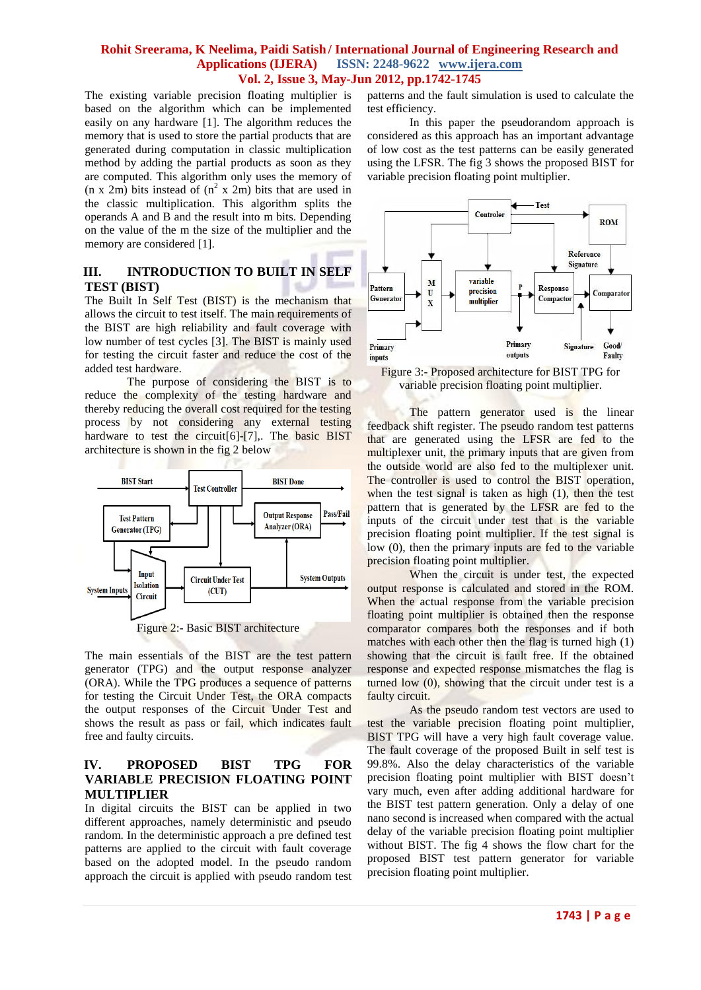#### **Rohit Sreerama, K Neelima, Paidi Satish / International Journal of Engineering Research and Applications (IJERA) ISSN: 2248-9622 www.ijera.com Vol. 2, Issue 3, May-Jun 2012, pp.1742-1745**

The existing variable precision floating multiplier is based on the algorithm which can be implemented easily on any hardware [1]. The algorithm reduces the memory that is used to store the partial products that are generated during computation in classic multiplication method by adding the partial products as soon as they are computed. This algorithm only uses the memory of  $(n \times 2m)$  bits instead of  $(n^2 \times 2m)$  bits that are used in the classic multiplication. This algorithm splits the operands A and B and the result into m bits. Depending on the value of the m the size of the multiplier and the memory are considered [1].

## **III. INTRODUCTION TO BUILT IN SELF TEST (BIST)**

The Built In Self Test (BIST) is the mechanism that allows the circuit to test itself. The main requirements of the BIST are high reliability and fault coverage with low number of test cycles [3]. The BIST is mainly used for testing the circuit faster and reduce the cost of the added test hardware.

The purpose of considering the BIST is to reduce the complexity of the testing hardware and thereby reducing the overall cost required for the testing process by not considering any external testing hardware to test the circuit[6]-[7],. The basic BIST architecture is shown in the fig 2 below



Figure 2:- Basic BIST architecture

The main essentials of the BIST are the test pattern generator (TPG) and the output response analyzer (ORA). While the TPG produces a sequence of patterns for testing the Circuit Under Test, the ORA compacts the output responses of the Circuit Under Test and shows the result as pass or fail, which indicates fault free and faulty circuits.

## **IV. PROPOSED BIST TPG FOR VARIABLE PRECISION FLOATING POINT MULTIPLIER**

In digital circuits the BIST can be applied in two different approaches, namely deterministic and pseudo random. In the deterministic approach a pre defined test patterns are applied to the circuit with fault coverage based on the adopted model. In the pseudo random approach the circuit is applied with pseudo random test patterns and the fault simulation is used to calculate the test efficiency.

In this paper the pseudorandom approach is considered as this approach has an important advantage of low cost as the test patterns can be easily generated using the LFSR. The fig 3 shows the proposed BIST for variable precision floating point multiplier.



Figure 3:- Proposed architecture for BIST TPG for variable precision floating point multiplier.

The pattern generator used is the linear feedback shift register. The pseudo random test patterns that are generated using the LFSR are fed to the multiplexer unit, the primary inputs that are given from the outside world are also fed to the multiplexer unit. The controller is used to control the BIST operation, when the test signal is taken as high (1), then the test pattern that is generated by the LFSR are fed to the inputs of the circuit under test that is the variable precision floating point multiplier. If the test signal is low (0), then the primary inputs are fed to the variable precision floating point multiplier.

When the circuit is under test, the expected output response is calculated and stored in the ROM. When the actual response from the variable precision floating point multiplier is obtained then the response comparator compares both the responses and if both matches with each other then the flag is turned high (1) showing that the circuit is fault free. If the obtained response and expected response mismatches the flag is turned low (0), showing that the circuit under test is a faulty circuit.

As the pseudo random test vectors are used to test the variable precision floating point multiplier, BIST TPG will have a very high fault coverage value. The fault coverage of the proposed Built in self test is 99.8%. Also the delay characteristics of the variable precision floating point multiplier with BIST doesn't vary much, even after adding additional hardware for the BIST test pattern generation. Only a delay of one nano second is increased when compared with the actual delay of the variable precision floating point multiplier without BIST. The fig 4 shows the flow chart for the proposed BIST test pattern generator for variable precision floating point multiplier.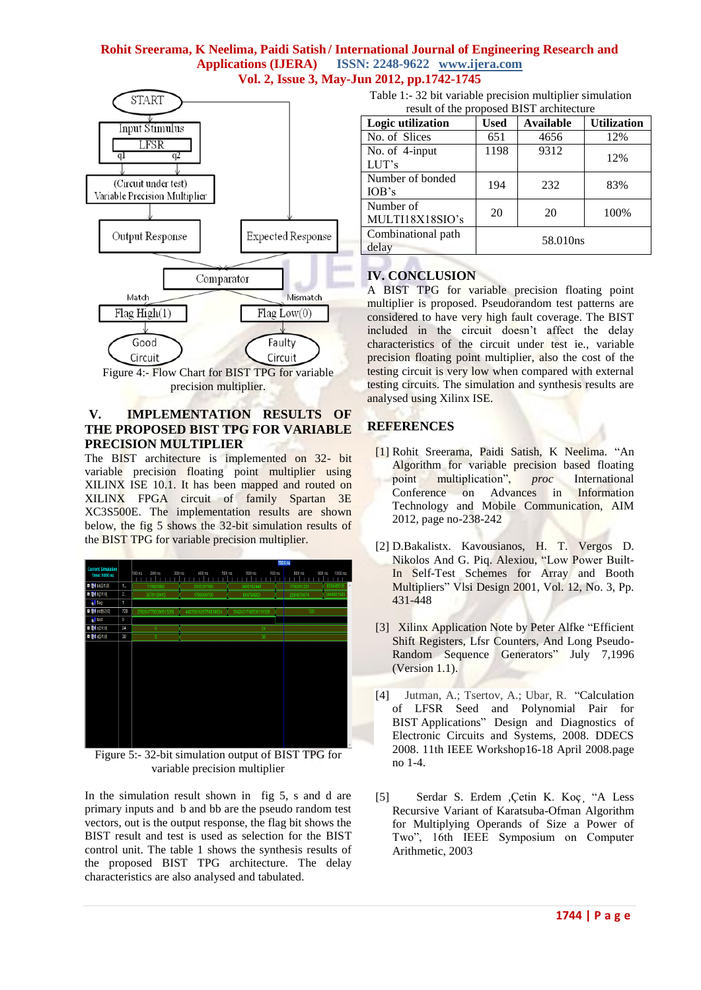### **Rohit Sreerama, K Neelima, Paidi Satish / International Journal of Engineering Research and Applications (IJERA) ISSN: 2248-9622 www.ijera.com Vol. 2, Issue 3, May-Jun 2012, pp.1742-1745**



### **V. IMPLEMENTATION RESULTS OF THE PROPOSED BIST TPG FOR VARIABLE PRECISION MULTIPLIER**

The BIST architecture is implemented on 32- bit variable precision floating point multiplier using XILINX ISE 10.1. It has been mapped and routed on XILINX FPGA circuit of family Spartan 3E XC3S500E. The implementation results are shown below, the fig 5 shows the 32-bit simulation results of the BIST TPG for variable precision multiplier.

|                                                   |       | 735.0 ns                          |                             |                     |  |                   |                          |
|---------------------------------------------------|-------|-----------------------------------|-----------------------------|---------------------|--|-------------------|--------------------------|
| <b>Current Simulation</b><br><b>Time: 1000 ns</b> |       | $100$ ns<br>200 ns<br>300 ns<br>п | 400 ns<br>500 <sub>ns</sub> | 600 ns<br>700 ns    |  | 800 <sub>ns</sub> | 900 ns<br>1000 ns        |
| D W bb[31:0]                                      | 1     | 715827882                         | 2505397589                  | 3400182442          |  | 1700091221        | 850045610<br>À           |
| <b>E M 6(31:0)</b>                                | $2$ . | 3579139413                        | 1789569706                  | 894784853           |  | 2594876074        | 3444921685               |
| <mark>àil</mark> flag                             | 1     |                                   |                             |                     |  |                   |                          |
| <b>■ 图 out[63:0]</b>                              | 720   | 2562047785390513266               | 4483583626759838834         | 3042431746538151026 |  | 720               |                          |
| <b>W</b> test                                     | 0     |                                   |                             |                     |  |                   |                          |
| <b>E M</b> \$[31:0]                               | 24    | $\mathbf{0}$                      |                             | 24                  |  |                   |                          |
| <b>E M ([31:0]</b>                                | 30    | n                                 | 30                          |                     |  |                   |                          |
|                                                   |       |                                   |                             |                     |  |                   |                          |
|                                                   |       |                                   |                             |                     |  |                   |                          |
|                                                   |       |                                   |                             |                     |  |                   |                          |
|                                                   |       |                                   |                             |                     |  |                   |                          |
|                                                   |       |                                   |                             |                     |  |                   |                          |
|                                                   |       |                                   |                             |                     |  |                   |                          |
|                                                   |       |                                   |                             |                     |  |                   |                          |
|                                                   |       |                                   |                             |                     |  |                   |                          |
|                                                   |       |                                   |                             |                     |  |                   |                          |
|                                                   |       |                                   |                             |                     |  |                   |                          |
|                                                   |       |                                   |                             |                     |  |                   |                          |
|                                                   |       |                                   |                             |                     |  |                   | $\overline{\phantom{a}}$ |

Figure 5:- 32-bit simulation output of BIST TPG for variable precision multiplier

In the simulation result shown in fig 5, s and d are primary inputs and b and bb are the pseudo random test vectors, out is the output response, the flag bit shows the BIST result and test is used as selection for the BIST control unit. The table 1 shows the synthesis results of the proposed BIST TPG architecture. The delay characteristics are also analysed and tabulated.

Table 1:- 32 bit variable precision multiplier simulation result of the proposed BIST architecture

| result of the proposed DIST divinteed to |          |                  |                    |  |  |  |  |  |
|------------------------------------------|----------|------------------|--------------------|--|--|--|--|--|
| <b>Logic utilization</b>                 | Used     | <b>Available</b> | <b>Utilization</b> |  |  |  |  |  |
| No. of Slices                            | 651      | 4656             | 12%                |  |  |  |  |  |
| No. of 4-input<br>LUT's                  | 1198     | 9312             | 12%                |  |  |  |  |  |
| Number of bonded<br>IOB's                | 194      | 232              | 83%                |  |  |  |  |  |
| Number of<br>MULTI18X18SIO's             | 20       | 20               | 100%               |  |  |  |  |  |
| Combinational path<br>delay              | 58.010ns |                  |                    |  |  |  |  |  |

# **IV. CONCLUSION**

A BIST TPG for variable precision floating point multiplier is proposed. Pseudorandom test patterns are considered to have very high fault coverage. The BIST included in the circuit doesn't affect the delay characteristics of the circuit under test ie., variable precision floating point multiplier, also the cost of the testing circuit is very low when compared with external testing circuits. The simulation and synthesis results are analysed using Xilinx ISE.

# **REFERENCES**

- [1] Rohit Sreerama, Paidi Satish, K Neelima. "An Algorithm for variable precision based floating point multiplication", *proc* International Conference on Advances in Information Technology and Mobile Communication, AIM 2012, page no-238-242
- [2] D.Bakalistx. Kavousianos, H. T. Vergos D. Nikolos And G. Piq. Alexiou, "Low Power Built-In Self-Test Schemes for Array and Booth Multipliers" Vlsi Design 2001, Vol. 12, No. 3, Pp. 431-448
- [3] Xilinx Application Note by Peter Alfke "Efficient Shift Registers, Lfsr Counters, And Long Pseudo-Random Sequence Generators" July 7,1996 (Version 1.1).
- [4]Jutman, A.; Tsertov, A.; Ubar, R. ["Calculation](http://ieeexplore.ieee.org/xpl/articleDetails.jsp?tp=&arnumber=4538801&contentType=Conference+Publications&ranges%3D2008_2012_p_Publication_Year%26queryText%3DBIST)  [of LFSR Seed and Polynomial Pair for](http://ieeexplore.ieee.org/xpl/articleDetails.jsp?tp=&arnumber=4538801&contentType=Conference+Publications&ranges%3D2008_2012_p_Publication_Year%26queryText%3DBIST)  BIST [Applications"](http://ieeexplore.ieee.org/xpl/articleDetails.jsp?tp=&arnumber=4538801&contentType=Conference+Publications&ranges%3D2008_2012_p_Publication_Year%26queryText%3DBIST) [Design and Diagnostics of](http://ieeexplore.ieee.org/xpl/mostRecentIssue.jsp?punumber=4534845)  [Electronic Circuits and Systems, 2008. DDECS](http://ieeexplore.ieee.org/xpl/mostRecentIssue.jsp?punumber=4534845)  [2008. 11th IEEE Workshop1](http://ieeexplore.ieee.org/xpl/mostRecentIssue.jsp?punumber=4534845)6-18 April 2008.page no 1-4.
- [5] Serdar S. Erdem *,*Çetin K. Koç¸ "A Less Recursive Variant of Karatsuba-Ofman Algorithm for Multiplying Operands of Size a Power of Two", 16th IEEE Symposium on Computer Arithmetic, 2003